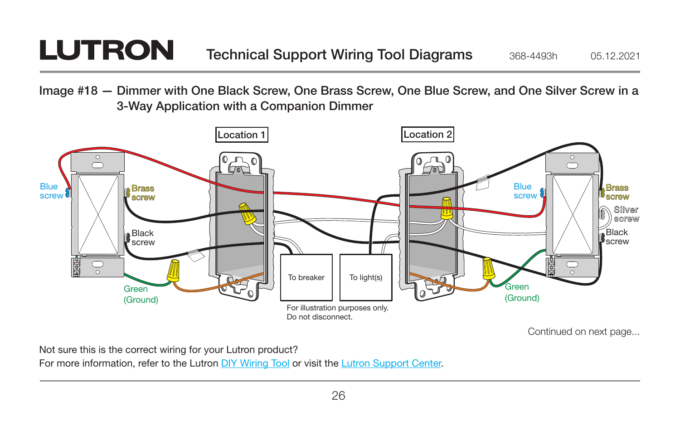## **LUTRON**

Image #18 — Dimmer with One Black Screw, One Brass Screw, One Blue Screw, and One Silver Screw in a 3-Way Application with a Companion Dimmer



Not sure this is the correct wiring for your Lutron product?

For more information, refer to the Lutron DIY Wiring Tool or visit the Lutron Support Center.